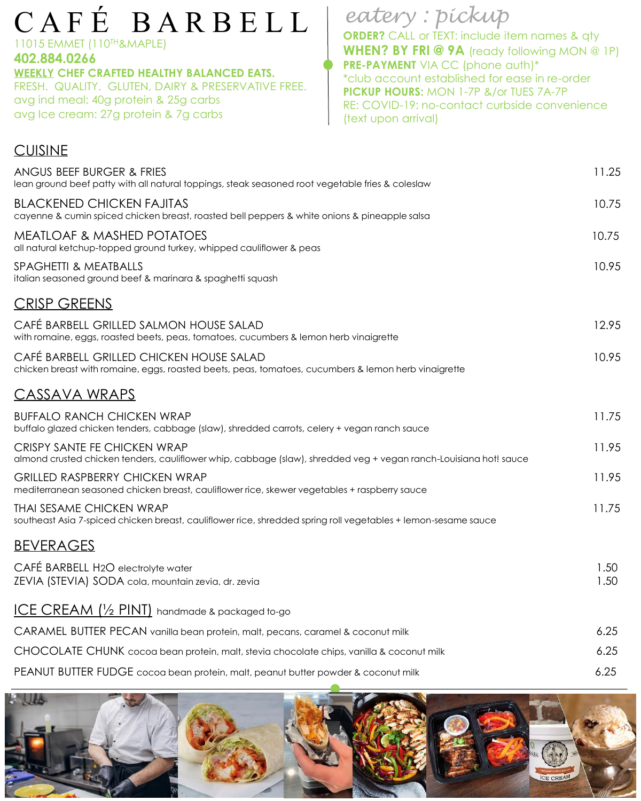# C A F É B A R B E L L

#### 11015 EMMET (110TH&MAPLE)

**CUISINE** 

**402.884.0266 WEEKLY CHEF CRAFTED HEALTHY BALANCED EATS.** FRESH. QUALITY. GLUTEN, DAIRY & PRESERVATIVE FREE. avg ind meal: 40g protein & 25g carbs

avg Ice cream: 27g protein & 7g carbs

## *eatery : pickup*

**ORDER?** CALL or TEXT: include item names & qty **WHEN? BY FRI @ 9A** (ready following MON @ 1P) **PRE-PAYMENT** VIA CC (phone auth)\* \*club account established for ease in re-order **PICKUP HOURS:** MON 1-7P &/or TUES 7A-7P RE: COVID-19: no-contact curbside convenience (text upon arrival)

| ANGUS BEEF BURGER & FRIES<br>lean ground beef patty with all natural toppings, steak seasoned root vegetable fries & coleslaw                     | 11.25        |
|---------------------------------------------------------------------------------------------------------------------------------------------------|--------------|
| <b>BLACKENED CHICKEN FAJITAS</b><br>cayenne & cumin spiced chicken breast, roasted bell peppers & white onions & pineapple salsa                  | 10.75        |
| <b>MEATLOAF &amp; MASHED POTATOES</b><br>all natural ketchup-topped ground turkey, whipped cauliflower & peas                                     | 10.75        |
| SPAGHETTI & MEATBALLS<br>italian seasoned ground beef & marinara & spaghetti squash                                                               | 10.95        |
| <b>CRISP GREENS</b>                                                                                                                               |              |
| CAFÉ BARBELL GRILLED SALMON HOUSE SALAD<br>with romaine, eggs, roasted beets, peas, tomatoes, cucumbers & lemon herb vinaigrette                  | 12.95        |
| CAFÉ BARBELL GRILLED CHICKEN HOUSE SALAD<br>chicken breast with romaine, eggs, roasted beets, peas, tomatoes, cucumbers & lemon herb vinaigrette  | 10.95        |
| <u>CASSAVA WRAPS</u>                                                                                                                              |              |
| <b>BUFFALO RANCH CHICKEN WRAP</b><br>buffalo glazed chicken tenders, cabbage (slaw), shredded carrots, celery + vegan ranch sauce                 | 11.75        |
| CRISPY SANTE FE CHICKEN WRAP<br>almond crusted chicken tenders, cauliflower whip, cabbage (slaw), shredded veg + vegan ranch-Louisiana hot! sauce | 11.95        |
| <b>GRILLED RASPBERRY CHICKEN WRAP</b><br>mediterranean seasoned chicken breast, cauliflower rice, skewer vegetables + raspberry sauce             | 11.95        |
| <b>THAI SESAME CHICKEN WRAP</b><br>southeast Asia 7-spiced chicken breast, cauliflower rice, shredded spring roll vegetables + lemon-sesame sauce | 11.75        |
| <b>BEVERAGES</b>                                                                                                                                  |              |
| CAFÉ BARBELL H2O electrolyte water<br>ZEVIA (STEVIA) SODA cola, mountain zevia, dr. zevia                                                         | 1.50<br>1.50 |
| ICE CREAM $\frac{1}{2}$ PINT) handmade & packaged to-go                                                                                           |              |
| CARAMEL BUTTER PECAN vanilla bean protein, malt, pecans, caramel & coconut milk                                                                   | 6.25         |
| CHOCOLATE CHUNK cocoa bean protein, malt, stevia chocolate chips, vanilla & coconut milk                                                          | 6.25         |
| PEANUT BUTTER FUDGE cocoa bean protein, malt, peanut butter powder & coconut milk                                                                 | 6.25         |